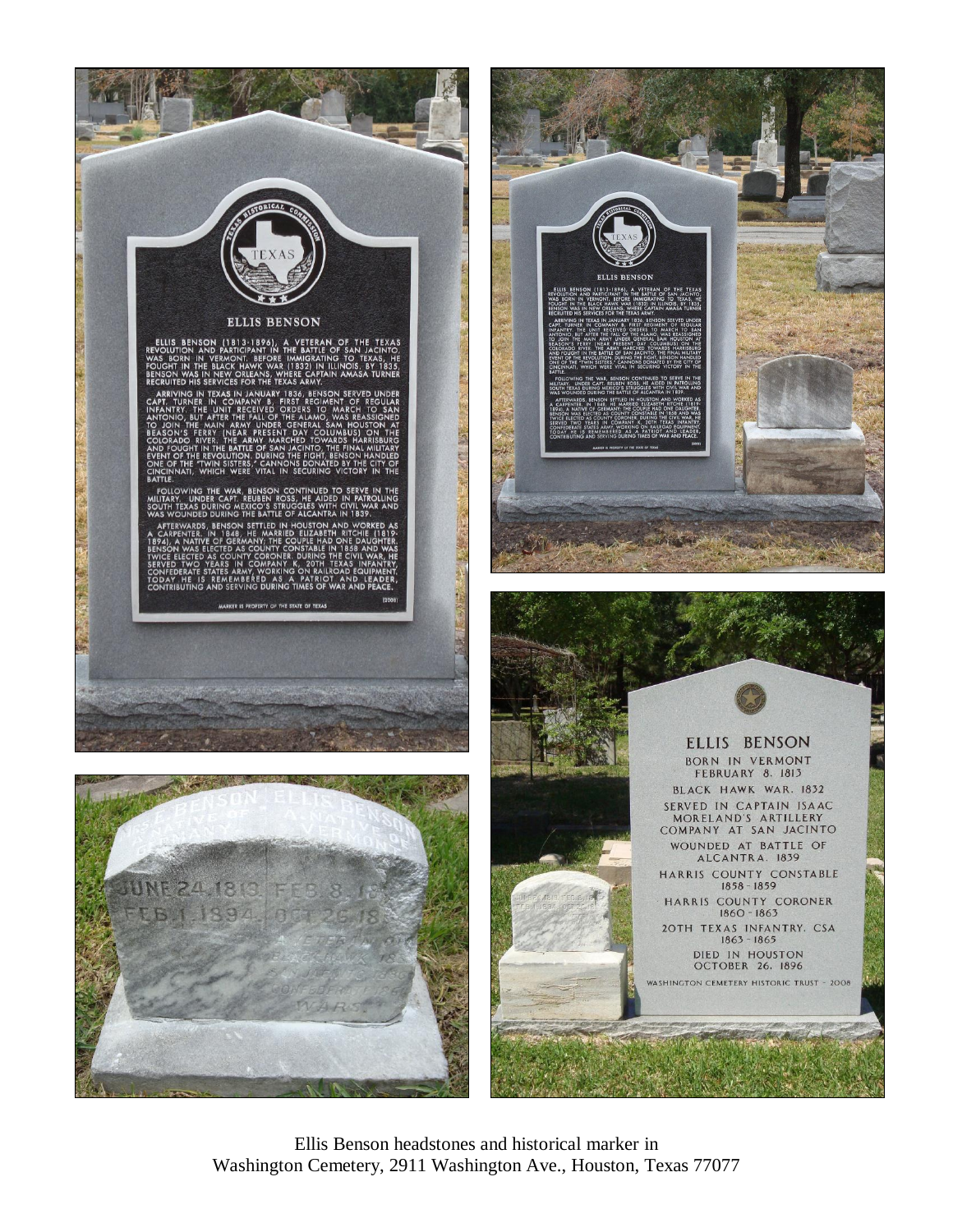

Ellis Benson headstones and historical marker in Washington Cemetery, 2911 Washington Ave., Houston, Texas 77077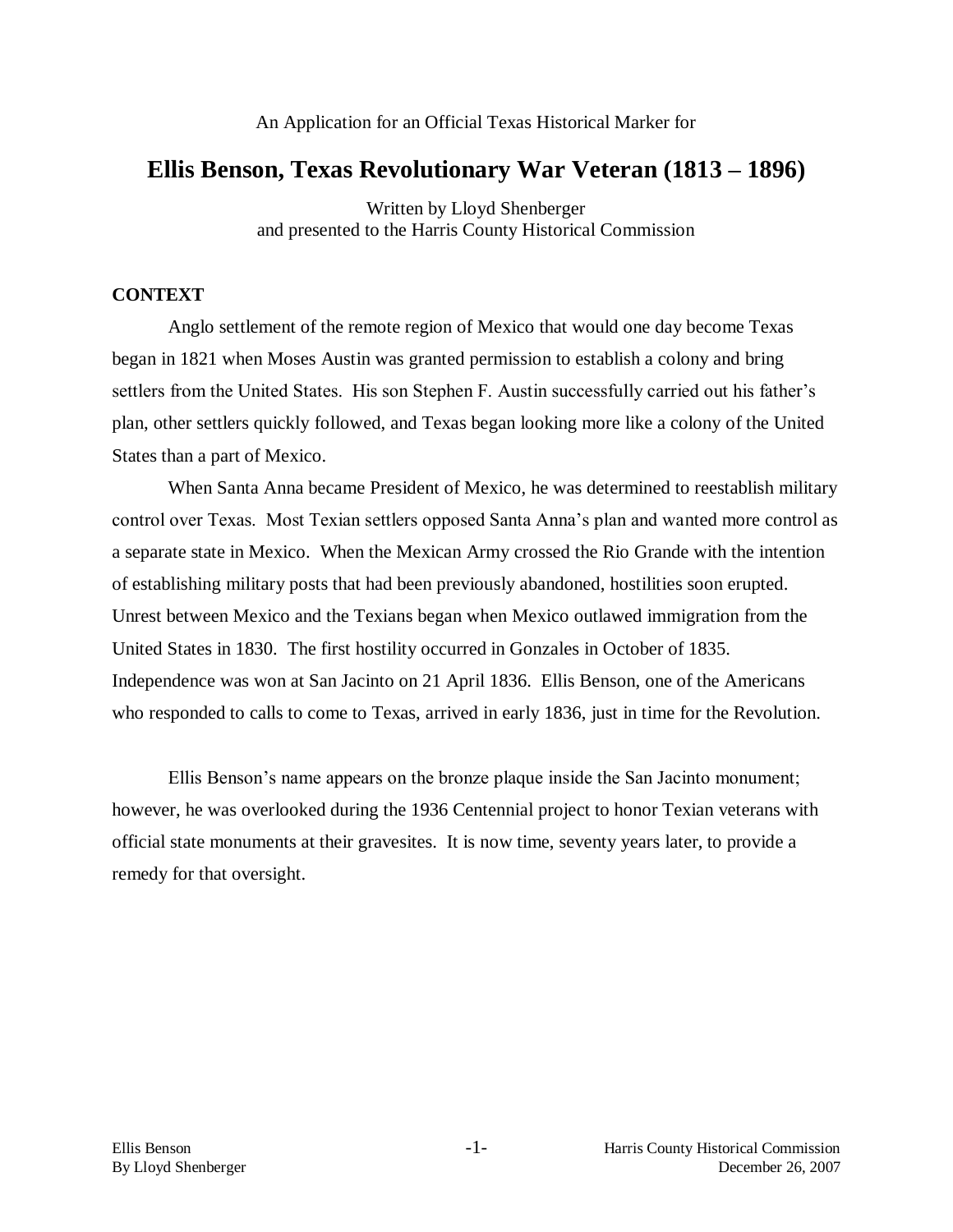# **Ellis Benson, Texas Revolutionary War Veteran (1813 – 1896)**

Written by Lloyd Shenberger and presented to the Harris County Historical Commission

## **CONTEXT**

Anglo settlement of the remote region of Mexico that would one day become Texas began in 1821 when Moses Austin was granted permission to establish a colony and bring settlers from the United States. His son Stephen F. Austin successfully carried out his father's plan, other settlers quickly followed, and Texas began looking more like a colony of the United States than a part of Mexico.

When Santa Anna became President of Mexico, he was determined to reestablish military control over Texas. Most Texian settlers opposed Santa Anna's plan and wanted more control as a separate state in Mexico. When the Mexican Army crossed the Rio Grande with the intention of establishing military posts that had been previously abandoned, hostilities soon erupted. Unrest between Mexico and the Texians began when Mexico outlawed immigration from the United States in 1830. The first hostility occurred in Gonzales in October of 1835. Independence was won at San Jacinto on 21 April 1836. Ellis Benson, one of the Americans who responded to calls to come to Texas, arrived in early 1836, just in time for the Revolution.

Ellis Benson's name appears on the bronze plaque inside the San Jacinto monument; however, he was overlooked during the 1936 Centennial project to honor Texian veterans with official state monuments at their gravesites. It is now time, seventy years later, to provide a remedy for that oversight.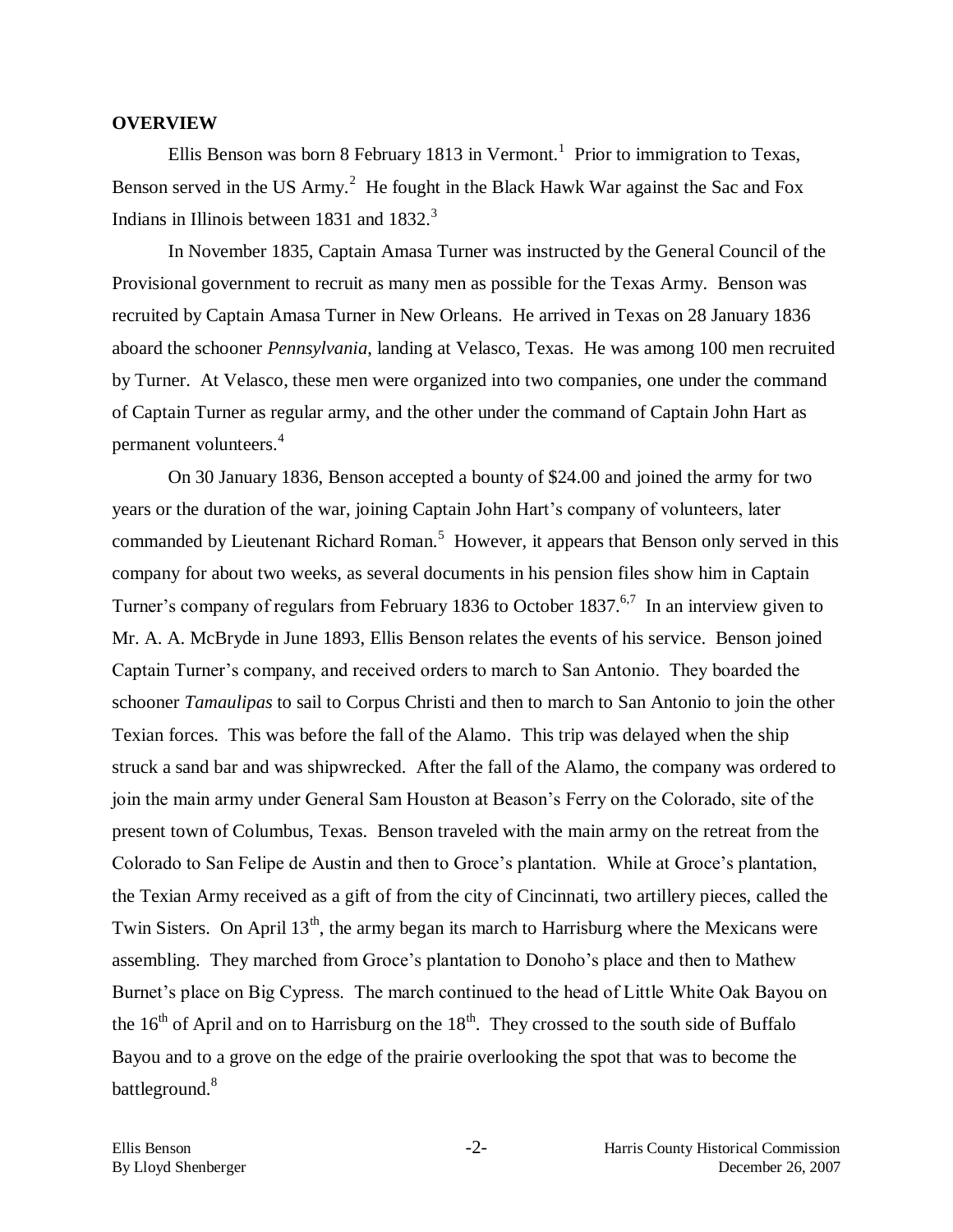#### **OVERVIEW**

Ellis Benson was born 8 February 1813 in Vermont.<sup>1</sup> Prior to immigration to Texas, Benson served in the US Army.<sup>2</sup> He fought in the Black Hawk War against the Sac and Fox Indians in Illinois between 1831 and  $1832.<sup>3</sup>$ 

In November 1835, Captain Amasa Turner was instructed by the General Council of the Provisional government to recruit as many men as possible for the Texas Army. Benson was recruited by Captain Amasa Turner in New Orleans. He arrived in Texas on 28 January 1836 aboard the schooner *Pennsylvania*, landing at Velasco, Texas. He was among 100 men recruited by Turner. At Velasco, these men were organized into two companies, one under the command of Captain Turner as regular army, and the other under the command of Captain John Hart as permanent volunteers.<sup>4</sup>

On 30 January 1836, Benson accepted a bounty of \$24.00 and joined the army for two years or the duration of the war, joining Captain John Hart's company of volunteers, later commanded by Lieutenant Richard Roman.<sup>5</sup> However, it appears that Benson only served in this company for about two weeks, as several documents in his pension files show him in Captain Turner's company of regulars from February 1836 to October 1837.<sup>6,7</sup> In an interview given to Mr. A. A. McBryde in June 1893, Ellis Benson relates the events of his service. Benson joined Captain Turner's company, and received orders to march to San Antonio. They boarded the schooner *Tamaulipas* to sail to Corpus Christi and then to march to San Antonio to join the other Texian forces. This was before the fall of the Alamo. This trip was delayed when the ship struck a sand bar and was shipwrecked. After the fall of the Alamo, the company was ordered to join the main army under General Sam Houston at Beason's Ferry on the Colorado, site of the present town of Columbus, Texas. Benson traveled with the main army on the retreat from the Colorado to San Felipe de Austin and then to Groce's plantation. While at Groce's plantation, the Texian Army received as a gift of from the city of Cincinnati, two artillery pieces, called the Twin Sisters. On April  $13<sup>th</sup>$ , the army began its march to Harrisburg where the Mexicans were assembling. They marched from Groce's plantation to Donoho's place and then to Mathew Burnet's place on Big Cypress. The march continued to the head of Little White Oak Bayou on the  $16<sup>th</sup>$  of April and on to Harrisburg on the  $18<sup>th</sup>$ . They crossed to the south side of Buffalo Bayou and to a grove on the edge of the prairie overlooking the spot that was to become the battleground.<sup>8</sup>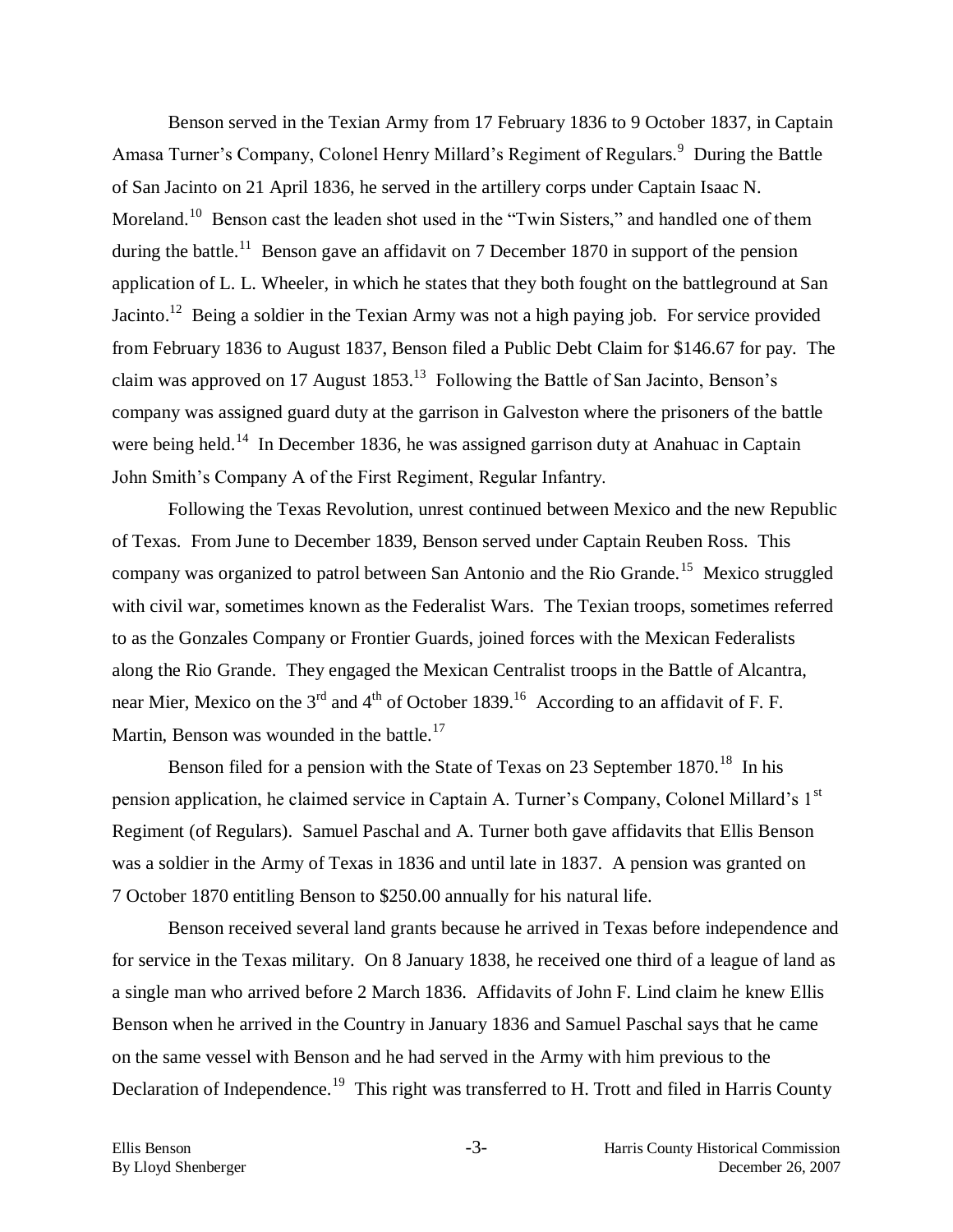Benson served in the Texian Army from 17 February 1836 to 9 October 1837, in Captain Amasa Turner's Company, Colonel Henry Millard's Regiment of Regulars.<sup>9</sup> During the Battle of San Jacinto on 21 April 1836, he served in the artillery corps under Captain Isaac N. Moreland.<sup>10</sup> Benson cast the leaden shot used in the "Twin Sisters," and handled one of them during the battle.<sup>11</sup> Benson gave an affidavit on 7 December 1870 in support of the pension application of L. L. Wheeler, in which he states that they both fought on the battleground at San Jacinto.<sup>12</sup> Being a soldier in the Texian Army was not a high paying job. For service provided from February 1836 to August 1837, Benson filed a Public Debt Claim for \$146.67 for pay. The claim was approved on 17 August  $1853$ <sup>13</sup> Following the Battle of San Jacinto, Benson's company was assigned guard duty at the garrison in Galveston where the prisoners of the battle were being held.<sup>14</sup> In December 1836, he was assigned garrison duty at Anahuac in Captain John Smith's Company A of the First Regiment, Regular Infantry.

Following the Texas Revolution, unrest continued between Mexico and the new Republic of Texas. From June to December 1839, Benson served under Captain Reuben Ross. This company was organized to patrol between San Antonio and the Rio Grande.<sup>15</sup> Mexico struggled with civil war, sometimes known as the Federalist Wars. The Texian troops, sometimes referred to as the Gonzales Company or Frontier Guards, joined forces with the Mexican Federalists along the Rio Grande. They engaged the Mexican Centralist troops in the Battle of Alcantra, near Mier, Mexico on the 3<sup>rd</sup> and 4<sup>th</sup> of October 1839.<sup>16</sup> According to an affidavit of F. F. Martin, Benson was wounded in the battle. $17$ 

Benson filed for a pension with the State of Texas on 23 September  $1870$ .<sup>18</sup> In his pension application, he claimed service in Captain A. Turner's Company, Colonel Millard's 1<sup>st</sup> Regiment (of Regulars). Samuel Paschal and A. Turner both gave affidavits that Ellis Benson was a soldier in the Army of Texas in 1836 and until late in 1837. A pension was granted on 7 October 1870 entitling Benson to \$250.00 annually for his natural life.

Benson received several land grants because he arrived in Texas before independence and for service in the Texas military. On 8 January 1838, he received one third of a league of land as a single man who arrived before 2 March 1836. Affidavits of John F. Lind claim he knew Ellis Benson when he arrived in the Country in January 1836 and Samuel Paschal says that he came on the same vessel with Benson and he had served in the Army with him previous to the Declaration of Independence.<sup>19</sup> This right was transferred to H. Trott and filed in Harris County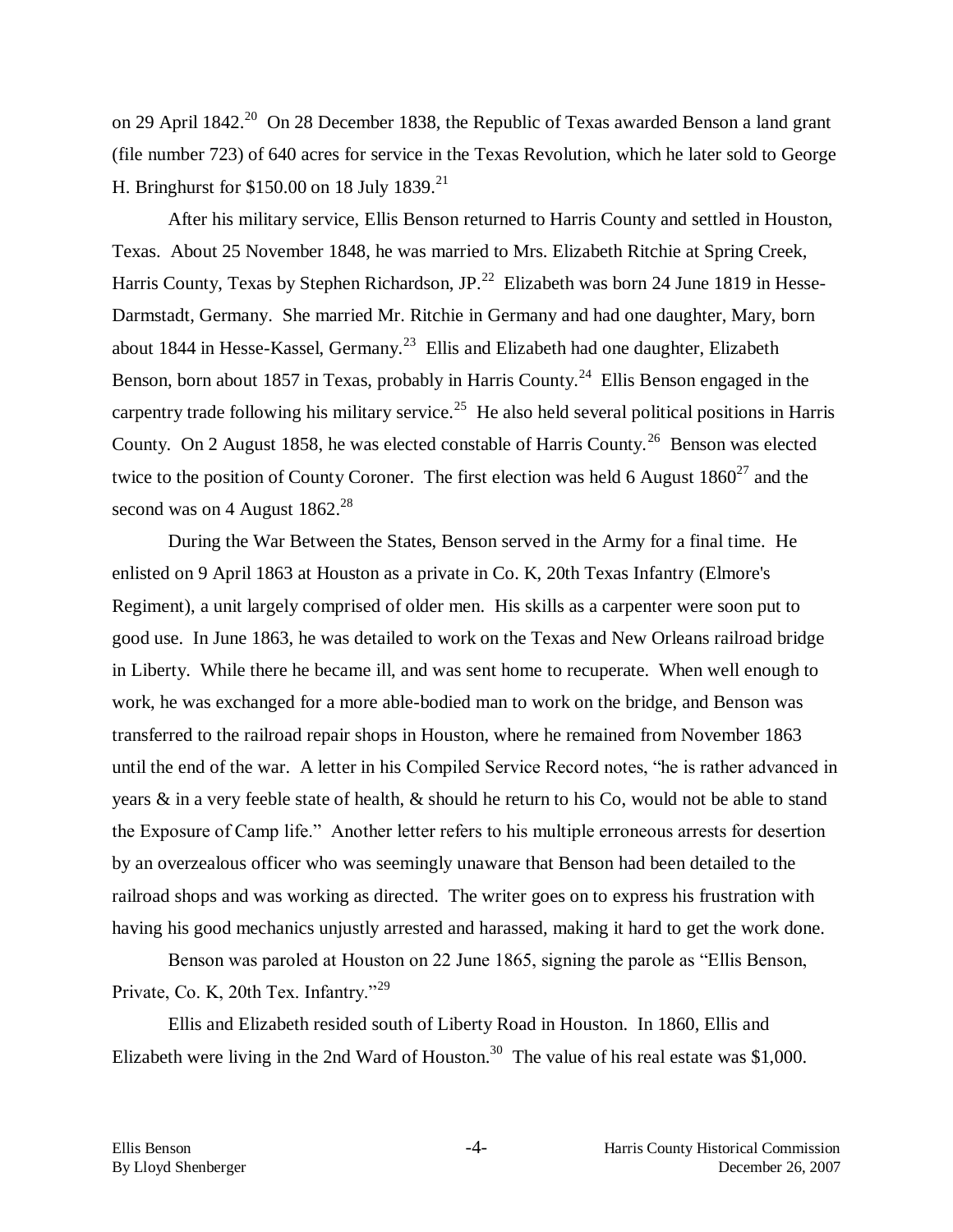on 29 April 1842.<sup>20</sup> On 28 December 1838, the Republic of Texas awarded Benson a land grant (file number 723) of 640 acres for service in the Texas Revolution, which he later sold to George H. Bringhurst for  $$150.00$  on 18 July 1839.<sup>21</sup>

After his military service, Ellis Benson returned to Harris County and settled in Houston, Texas. About 25 November 1848, he was married to Mrs. Elizabeth Ritchie at Spring Creek, Harris County, Texas by Stephen Richardson, JP.<sup>22</sup> Elizabeth was born 24 June 1819 in Hesse-Darmstadt, Germany. She married Mr. Ritchie in Germany and had one daughter, Mary, born about 1844 in Hesse-Kassel, Germany.<sup>23</sup> Ellis and Elizabeth had one daughter, Elizabeth Benson, born about 1857 in Texas, probably in Harris County.<sup>24</sup> Ellis Benson engaged in the carpentry trade following his military service.<sup>25</sup> He also held several political positions in Harris County. On 2 August 1858, he was elected constable of Harris County.<sup>26</sup> Benson was elected twice to the position of County Coroner. The first election was held 6 August  $1860^{27}$  and the second was on 4 August  $1862.<sup>28</sup>$ 

During the War Between the States, Benson served in the Army for a final time. He enlisted on 9 April 1863 at Houston as a private in Co. K, 20th Texas Infantry (Elmore's Regiment), a unit largely comprised of older men. His skills as a carpenter were soon put to good use. In June 1863, he was detailed to work on the Texas and New Orleans railroad bridge in Liberty. While there he became ill, and was sent home to recuperate. When well enough to work, he was exchanged for a more able-bodied man to work on the bridge, and Benson was transferred to the railroad repair shops in Houston, where he remained from November 1863 until the end of the war. A letter in his Compiled Service Record notes, "he is rather advanced in years & in a very feeble state of health, & should he return to his Co, would not be able to stand the Exposure of Camp life." Another letter refers to his multiple erroneous arrests for desertion by an overzealous officer who was seemingly unaware that Benson had been detailed to the railroad shops and was working as directed. The writer goes on to express his frustration with having his good mechanics unjustly arrested and harassed, making it hard to get the work done.

Benson was paroled at Houston on 22 June 1865, signing the parole as "Ellis Benson, Private, Co. K, 20th Tex. Infantry."<sup>29</sup>

Ellis and Elizabeth resided south of Liberty Road in Houston. In 1860, Ellis and Elizabeth were living in the 2nd Ward of Houston.<sup>30</sup> The value of his real estate was \$1,000.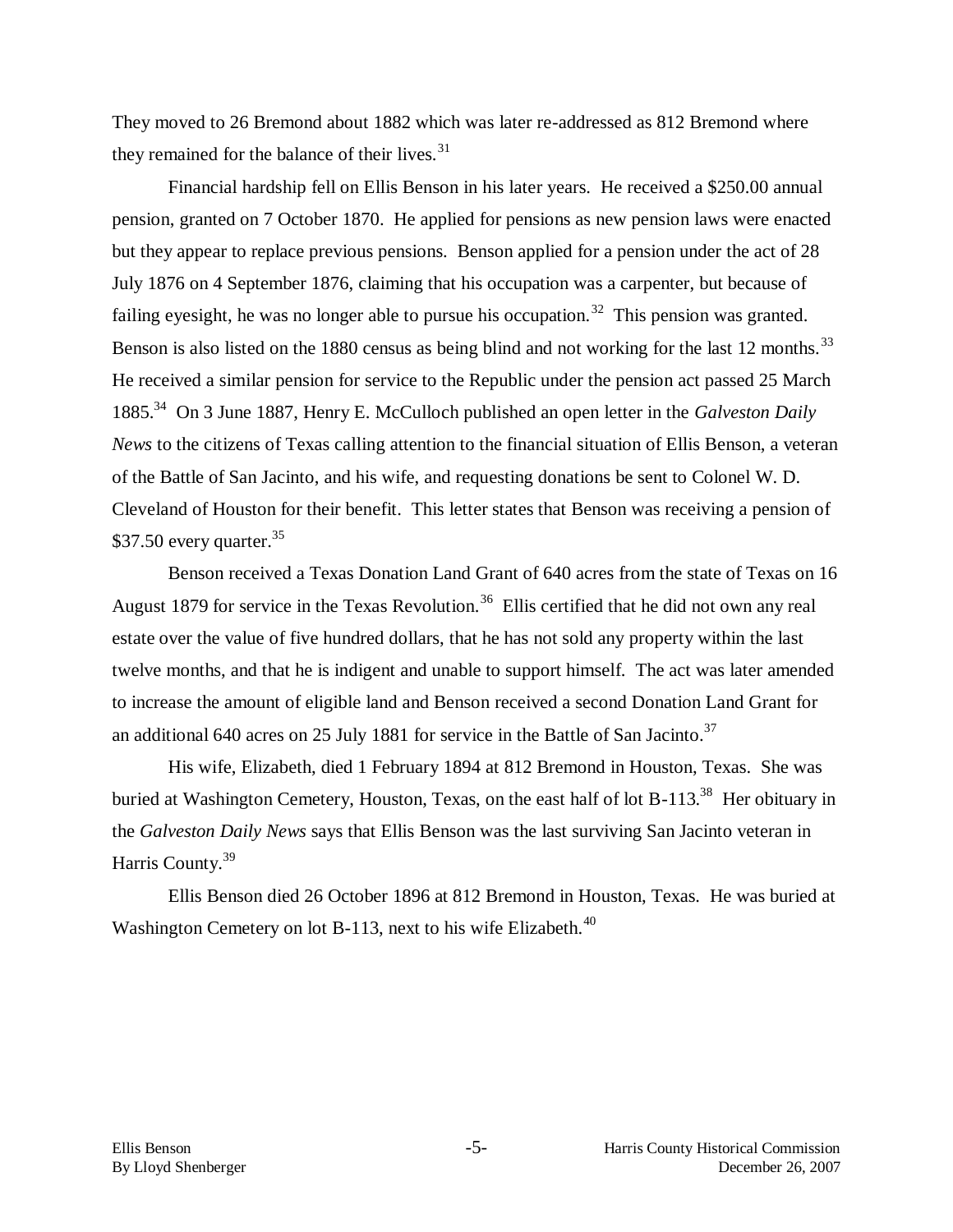They moved to 26 Bremond about 1882 which was later re-addressed as 812 Bremond where they remained for the balance of their lives.<sup>31</sup>

Financial hardship fell on Ellis Benson in his later years. He received a \$250.00 annual pension, granted on 7 October 1870. He applied for pensions as new pension laws were enacted but they appear to replace previous pensions. Benson applied for a pension under the act of 28 July 1876 on 4 September 1876, claiming that his occupation was a carpenter, but because of failing eyesight, he was no longer able to pursue his occupation.<sup>32</sup> This pension was granted. Benson is also listed on the 1880 census as being blind and not working for the last 12 months.<sup>33</sup> He received a similar pension for service to the Republic under the pension act passed 25 March 1885.<sup>34</sup> On 3 June 1887, Henry E. McCulloch published an open letter in the *Galveston Daily News* to the citizens of Texas calling attention to the financial situation of Ellis Benson, a veteran of the Battle of San Jacinto, and his wife, and requesting donations be sent to Colonel W. D. Cleveland of Houston for their benefit. This letter states that Benson was receiving a pension of \$37.50 every quarter.  $35$ 

Benson received a Texas Donation Land Grant of 640 acres from the state of Texas on 16 August 1879 for service in the Texas Revolution.<sup>36</sup> Ellis certified that he did not own any real estate over the value of five hundred dollars, that he has not sold any property within the last twelve months, and that he is indigent and unable to support himself. The act was later amended to increase the amount of eligible land and Benson received a second Donation Land Grant for an additional 640 acres on 25 July 1881 for service in the Battle of San Jacinto.<sup>37</sup>

His wife, Elizabeth, died 1 February 1894 at 812 Bremond in Houston, Texas. She was buried at Washington Cemetery, Houston, Texas, on the east half of lot B-113.<sup>38</sup> Her obituary in the *Galveston Daily News* says that Ellis Benson was the last surviving San Jacinto veteran in Harris County.<sup>39</sup>

Ellis Benson died 26 October 1896 at 812 Bremond in Houston, Texas. He was buried at Washington Cemetery on lot B-113, next to his wife Elizabeth.<sup>40</sup>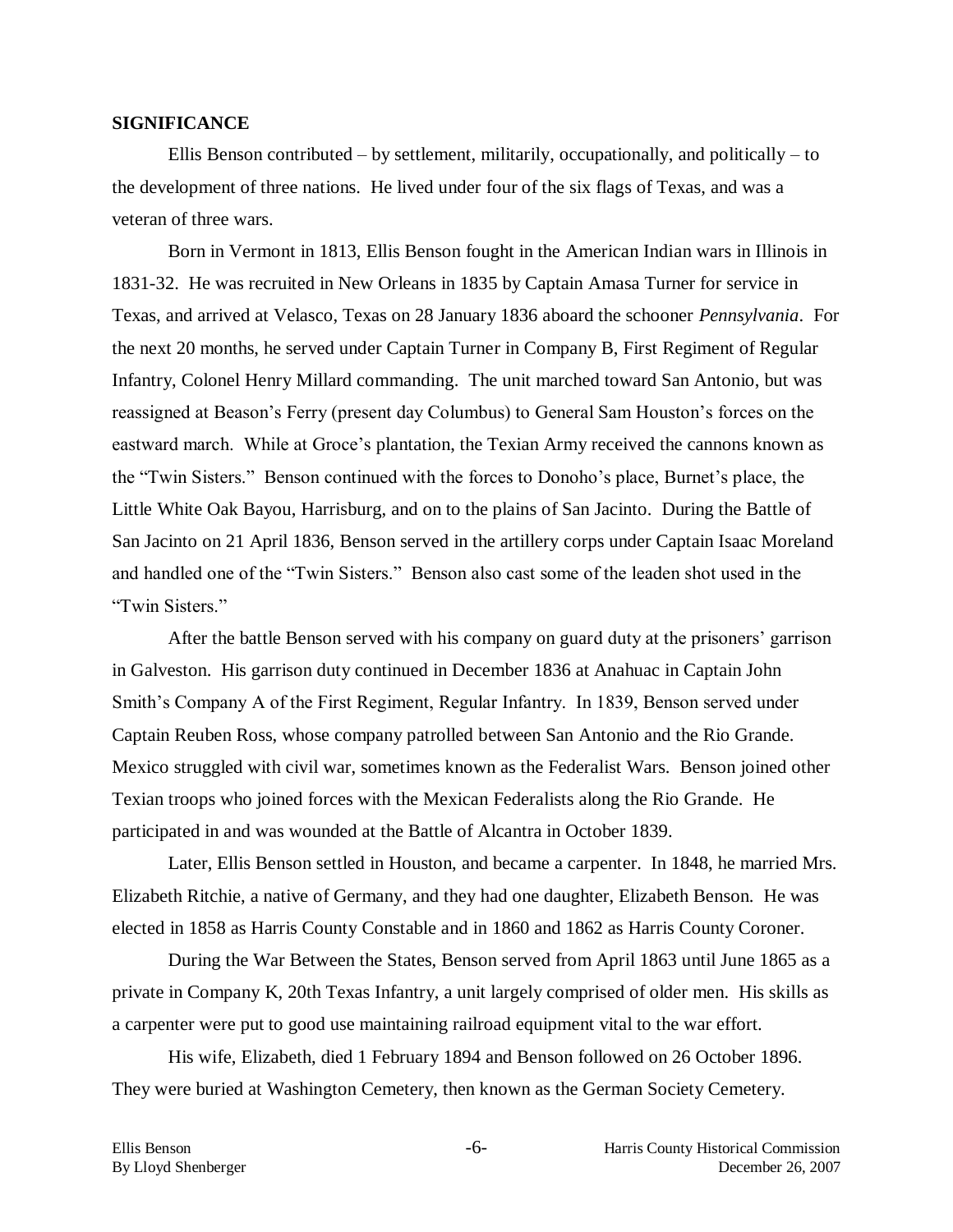#### **SIGNIFICANCE**

Ellis Benson contributed – by settlement, militarily, occupationally, and politically – to the development of three nations. He lived under four of the six flags of Texas, and was a veteran of three wars.

Born in Vermont in 1813, Ellis Benson fought in the American Indian wars in Illinois in 1831-32. He was recruited in New Orleans in 1835 by Captain Amasa Turner for service in Texas, and arrived at Velasco, Texas on 28 January 1836 aboard the schooner *Pennsylvania*. For the next 20 months, he served under Captain Turner in Company B, First Regiment of Regular Infantry, Colonel Henry Millard commanding. The unit marched toward San Antonio, but was reassigned at Beason's Ferry (present day Columbus) to General Sam Houston's forces on the eastward march. While at Groce's plantation, the Texian Army received the cannons known as the "Twin Sisters." Benson continued with the forces to Donoho's place, Burnet's place, the Little White Oak Bayou, Harrisburg, and on to the plains of San Jacinto. During the Battle of San Jacinto on 21 April 1836, Benson served in the artillery corps under Captain Isaac Moreland and handled one of the "Twin Sisters." Benson also cast some of the leaden shot used in the "Twin Sisters."

After the battle Benson served with his company on guard duty at the prisoners' garrison in Galveston. His garrison duty continued in December 1836 at Anahuac in Captain John Smith's Company A of the First Regiment, Regular Infantry. In 1839, Benson served under Captain Reuben Ross, whose company patrolled between San Antonio and the Rio Grande. Mexico struggled with civil war, sometimes known as the Federalist Wars. Benson joined other Texian troops who joined forces with the Mexican Federalists along the Rio Grande. He participated in and was wounded at the Battle of Alcantra in October 1839.

Later, Ellis Benson settled in Houston, and became a carpenter. In 1848, he married Mrs. Elizabeth Ritchie, a native of Germany, and they had one daughter, Elizabeth Benson. He was elected in 1858 as Harris County Constable and in 1860 and 1862 as Harris County Coroner.

During the War Between the States, Benson served from April 1863 until June 1865 as a private in Company K, 20th Texas Infantry, a unit largely comprised of older men. His skills as a carpenter were put to good use maintaining railroad equipment vital to the war effort.

His wife, Elizabeth, died 1 February 1894 and Benson followed on 26 October 1896. They were buried at Washington Cemetery, then known as the German Society Cemetery.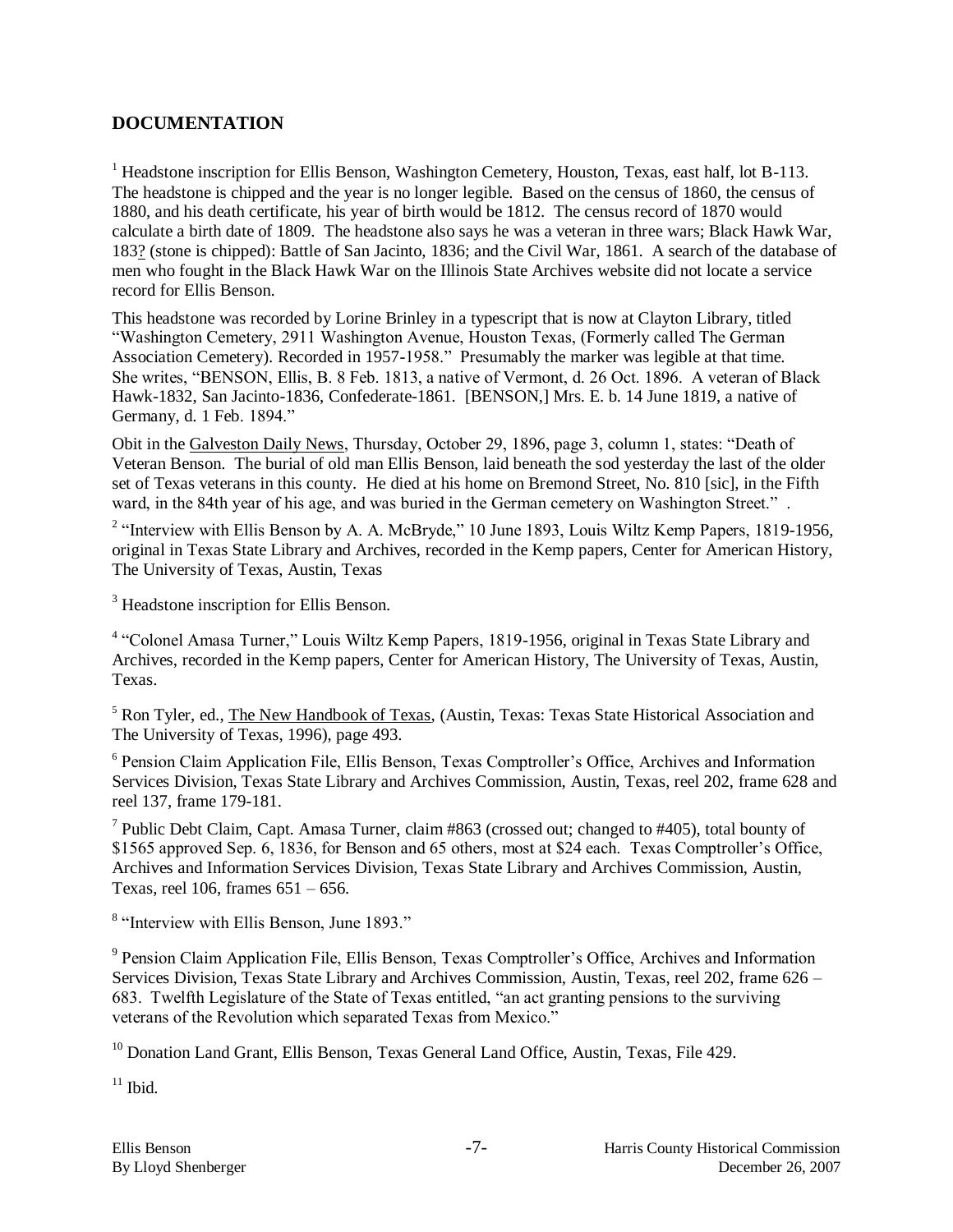### **DOCUMENTATION**

<sup>1</sup> Headstone inscription for Ellis Benson, Washington Cemetery, Houston, Texas, east half, lot B-113. The headstone is chipped and the year is no longer legible. Based on the census of 1860, the census of 1880, and his death certificate, his year of birth would be 1812. The census record of 1870 would calculate a birth date of 1809. The headstone also says he was a veteran in three wars; Black Hawk War, 183? (stone is chipped): Battle of San Jacinto, 1836; and the Civil War, 1861. A search of the database of men who fought in the Black Hawk War on the Illinois State Archives website did not locate a service record for Ellis Benson.

This headstone was recorded by Lorine Brinley in a typescript that is now at Clayton Library, titled "Washington Cemetery, 2911 Washington Avenue, Houston Texas, (Formerly called The German Association Cemetery). Recorded in 1957-1958." Presumably the marker was legible at that time. She writes, "BENSON, Ellis, B. 8 Feb. 1813, a native of Vermont, d. 26 Oct. 1896. A veteran of Black Hawk-1832, San Jacinto-1836, Confederate-1861. [BENSON,] Mrs. E. b. 14 June 1819, a native of Germany, d. 1 Feb. 1894."

Obit in the Galveston Daily News, Thursday, October 29, 1896, page 3, column 1, states: "Death of Veteran Benson. The burial of old man Ellis Benson, laid beneath the sod yesterday the last of the older set of Texas veterans in this county. He died at his home on Bremond Street, No. 810 [sic], in the Fifth ward, in the 84th year of his age, and was buried in the German cemetery on Washington Street." .

<sup>2</sup> "Interview with Ellis Benson by A. A. McBryde," 10 June 1893, Louis Wiltz Kemp Papers, 1819-1956, original in Texas State Library and Archives, recorded in the Kemp papers, Center for American History, The University of Texas, Austin, Texas

<sup>3</sup> Headstone inscription for Ellis Benson.

<sup>4</sup> "Colonel Amasa Turner," Louis Wiltz Kemp Papers, 1819-1956, original in Texas State Library and Archives, recorded in the Kemp papers, Center for American History, The University of Texas, Austin, Texas.

<sup>5</sup> Ron Tyler, ed., The New Handbook of Texas, (Austin, Texas: Texas State Historical Association and The University of Texas, 1996), page 493.

<sup>6</sup> Pension Claim Application File, Ellis Benson, Texas Comptroller's Office, Archives and Information Services Division, Texas State Library and Archives Commission, Austin, Texas, reel 202, frame 628 and reel 137, frame 179-181.

<sup>7</sup> Public Debt Claim, Capt. Amasa Turner, claim  $#863$  (crossed out; changed to  $#405$ ), total bounty of \$1565 approved Sep. 6, 1836, for Benson and 65 others, most at \$24 each. Texas Comptroller's Office, Archives and Information Services Division, Texas State Library and Archives Commission, Austin, Texas, reel 106, frames 651 – 656.

<sup>8</sup> "Interview with Ellis Benson, June 1893."

<sup>9</sup> Pension Claim Application File, Ellis Benson, Texas Comptroller's Office, Archives and Information Services Division, Texas State Library and Archives Commission, Austin, Texas, reel 202, frame 626 – 683. Twelfth Legislature of the State of Texas entitled, "an act granting pensions to the surviving veterans of the Revolution which separated Texas from Mexico."

<sup>10</sup> Donation Land Grant, Ellis Benson, Texas General Land Office, Austin, Texas, File 429.

 $11$  Ibid.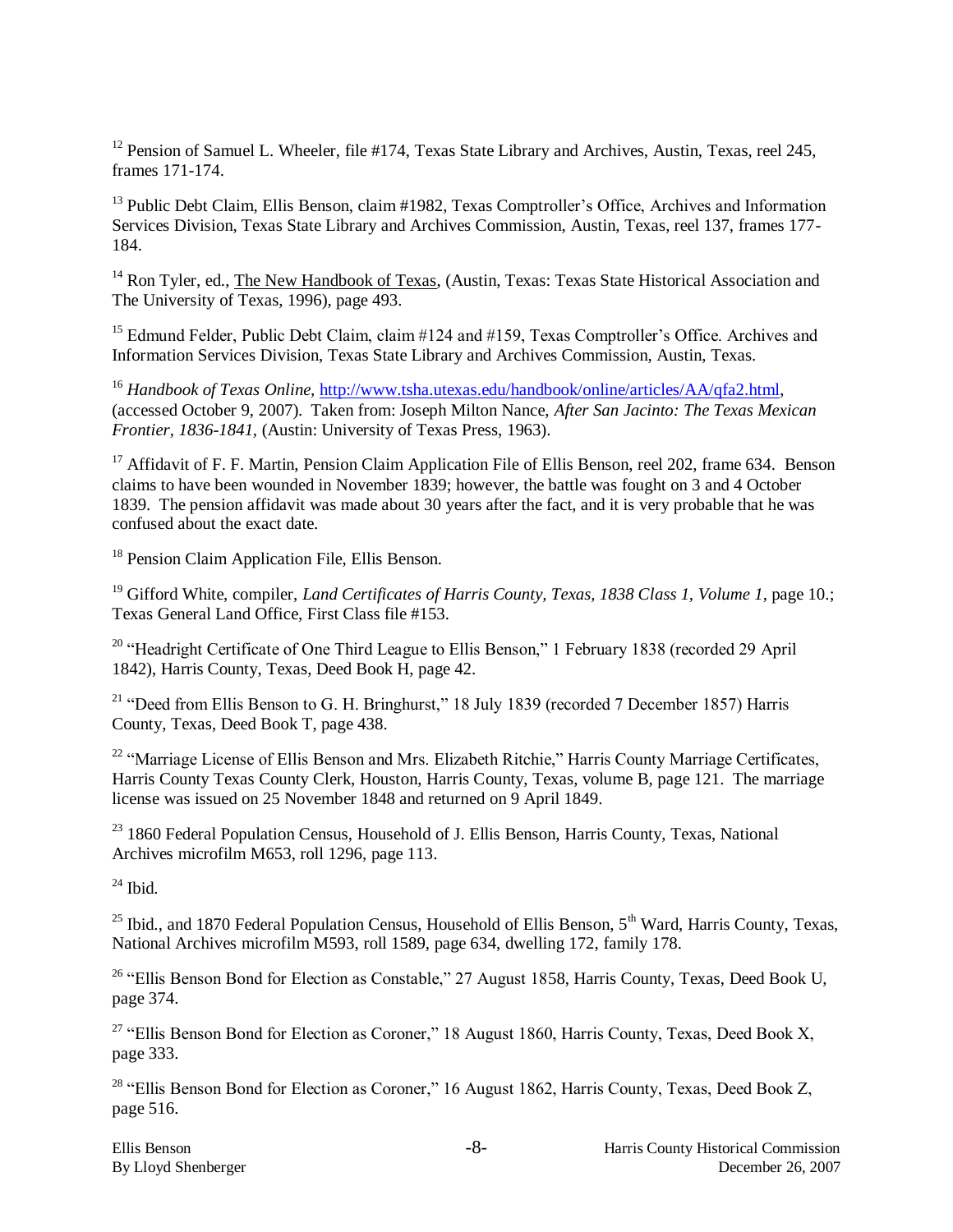<sup>12</sup> Pension of Samuel L. Wheeler, file #174, Texas State Library and Archives, Austin, Texas, reel 245, frames 171-174.

<sup>13</sup> Public Debt Claim, Ellis Benson, claim #1982, Texas Comptroller's Office, Archives and Information Services Division, Texas State Library and Archives Commission, Austin, Texas, reel 137, frames 177- 184.

<sup>14</sup> Ron Tyler, ed., The New Handbook of Texas, (Austin, Texas: Texas State Historical Association and The University of Texas, 1996), page 493.

<sup>15</sup> Edmund Felder, Public Debt Claim, claim #124 and #159, Texas Comptroller's Office. Archives and Information Services Division, Texas State Library and Archives Commission, Austin, Texas.

<sup>16</sup> *Handbook of Texas Online, [http://www.tsha.utexas.edu/handbook/online/articles/AA/qfa2.html,](http://www.tsha.utexas.edu/handbook/online/articles/AA/qfa2.html)* (accessed October 9, 2007). Taken from: Joseph Milton Nance, *After San Jacinto: The Texas Mexican Frontier, 1836-1841,* (Austin: University of Texas Press, 1963).

<sup>17</sup> Affidavit of F. F. Martin, Pension Claim Application File of Ellis Benson, reel 202, frame 634. Benson claims to have been wounded in November 1839; however, the battle was fought on 3 and 4 October 1839. The pension affidavit was made about 30 years after the fact, and it is very probable that he was confused about the exact date.

<sup>18</sup> Pension Claim Application File, Ellis Benson.

<sup>19</sup> Gifford White, compiler, *Land Certificates of Harris County, Texas, 1838 Class 1, Volume 1*, page 10.; Texas General Land Office, First Class file #153.

<sup>20</sup> "Headright Certificate of One Third League to Ellis Benson," 1 February 1838 (recorded 29 April 1842), Harris County, Texas, Deed Book H, page 42.

<sup>21</sup> "Deed from Ellis Benson to G. H. Bringhurst," 18 July 1839 (recorded 7 December 1857) Harris County, Texas, Deed Book T, page 438.

<sup>22</sup> "Marriage License of Ellis Benson and Mrs. Elizabeth Ritchie," Harris County Marriage Certificates, Harris County Texas County Clerk, Houston, Harris County, Texas, volume B, page 121. The marriage license was issued on 25 November 1848 and returned on 9 April 1849.

<sup>23</sup> 1860 Federal Population Census, Household of J. Ellis Benson, Harris County, Texas, National Archives microfilm M653, roll 1296, page 113.

 $24$  Ibid.

<sup>25</sup> Ibid., and 1870 Federal Population Census, Household of Ellis Benson, 5<sup>th</sup> Ward, Harris County, Texas, National Archives microfilm M593, roll 1589, page 634, dwelling 172, family 178.

<sup>26</sup> "Ellis Benson Bond for Election as Constable," 27 August 1858, Harris County, Texas, Deed Book U, page 374.

<sup>27</sup> "Ellis Benson Bond for Election as Coroner," 18 August 1860, Harris County, Texas, Deed Book X, page 333.

<sup>28</sup> "Ellis Benson Bond for Election as Coroner," 16 August 1862, Harris County, Texas, Deed Book Z, page 516.